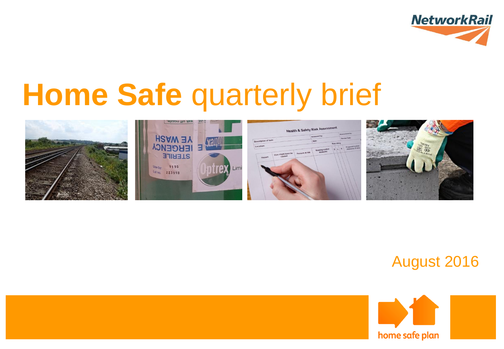

# **Home Safe** quarterly brief



#### August 2016

/

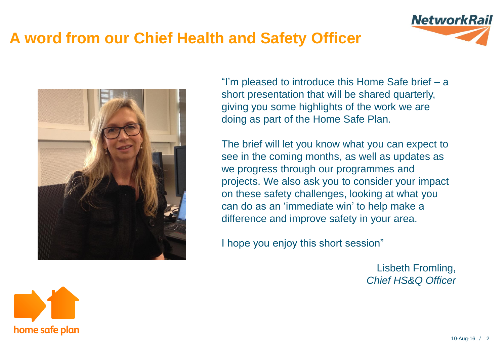# **A word from our Chief Health and Safety Officer**



"I'm pleased to introduce this Home Safe brief – a short presentation that will be shared quarterly, giving you some highlights of the work we are doing as part of the Home Safe Plan.

The brief will let you know what you can expect to see in the coming months, as well as updates as we progress through our programmes and projects. We also ask you to consider your impact on these safety challenges, looking at what you can do as an 'immediate win' to help make a difference and improve safety in your area.

I hope you enjoy this short session"

Lisbeth Fromling, *Chief HS&Q Officer*



**NetworkRail**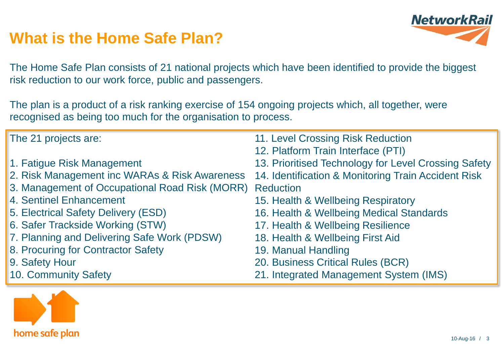## **What is the Home Safe Plan?**



The Home Safe Plan consists of 21 national projects which have been identified to provide the biggest risk reduction to our work force, public and passengers.

The plan is a product of a risk ranking exercise of 154 ongoing projects which, all together, were recognised as being too much for the organisation to process.

| The 21 projects are:                                     | 11. Level Crossing Risk Reduction                    |
|----------------------------------------------------------|------------------------------------------------------|
|                                                          | 12. Platform Train Interface (PTI)                   |
| 1. Fatigue Risk Management                               | 13. Prioritised Technology for Level Crossing Safety |
| 2. Risk Management inc WARAs & Risk Awareness            | 14. Identification & Monitoring Train Accident Risk  |
| 3. Management of Occupational Road Risk (MORR) Reduction |                                                      |
| 4. Sentinel Enhancement                                  | 15. Health & Wellbeing Respiratory                   |
| 5. Electrical Safety Delivery (ESD)                      | 16. Health & Wellbeing Medical Standards             |
| 6. Safer Trackside Working (STW)                         | 17. Health & Wellbeing Resilience                    |
| 7. Planning and Delivering Safe Work (PDSW)              | 18. Health & Wellbeing First Aid                     |
| 8. Procuring for Contractor Safety                       | 19. Manual Handling                                  |
| 9. Safety Hour                                           | 20. Business Critical Rules (BCR)                    |
| 10. Community Safety                                     | 21. Integrated Management System (IMS)               |

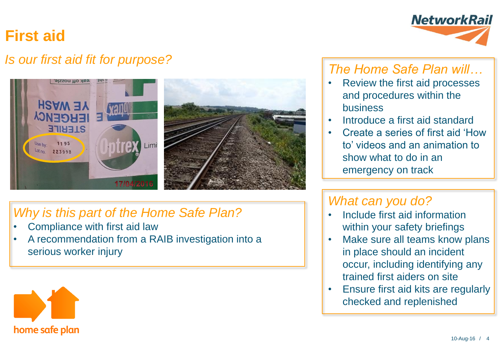# **First aid**

#### *Is our first aid fit for purpose?*



#### *Why is this part of the Home Safe Plan?*

- Compliance with first aid law
- A recommendation from a RAIB investigation into a serious worker injury





#### *The Home Safe Plan will…*

- Review the first aid processes and procedures within the business
- Introduce a first aid standard
- Create a series of first aid 'How to' videos and an animation to show what to do in an emergency on track

#### *What can you do?*

- Include first aid information within your safety briefings
- Make sure all teams know plans in place should an incident occur, including identifying any trained first aiders on site
- Ensure first aid kits are regularly checked and replenished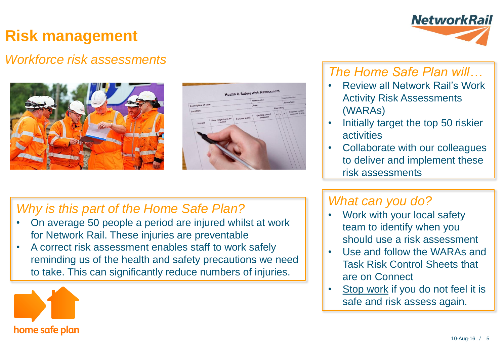# **Risk management**

#### *Workforce risk assessments*





#### *Why is this part of the Home Safe Plan?*

- On average 50 people a period are injured whilst at work for Network Rail. These injuries are preventable
- A correct risk assessment enables staff to work safely reminding us of the health and safety precautions we need to take. This can significantly reduce numbers of injuries.





#### *The Home Safe Plan will…*

- Review all Network Rail's Work Activity Risk Assessments (WARAs)
- Initially target the top 50 riskier activities
- Collaborate with our colleagues to deliver and implement these risk assessments

#### *What can you do?*

- Work with your local safety team to identify when you should use a risk assessment
- Use and follow the WARAs and Task Risk Control Sheets that are on Connect
- Stop work if you do not feel it is safe and risk assess again.

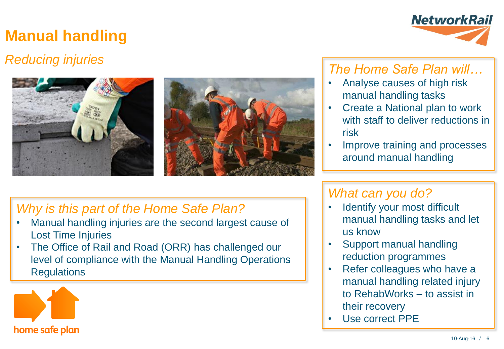# **Manual handling**

### *Reducing injuries*





#### *Why is this part of the Home Safe Plan?*

- Manual handling injuries are the second largest cause of Lost Time Injuries
- The Office of Rail and Road (ORR) has challenged our level of compliance with the Manual Handling Operations **Regulations**





#### *The Home Safe Plan will…*

- Analyse causes of high risk manual handling tasks
- Create a National plan to work with staff to deliver reductions in risk
- Improve training and processes around manual handling

#### *What can you do?*

- Identify your most difficult manual handling tasks and let us know
- Support manual handling reduction programmes
- Refer colleagues who have a manual handling related injury to RehabWorks – to assist in their recovery
- Use correct PPE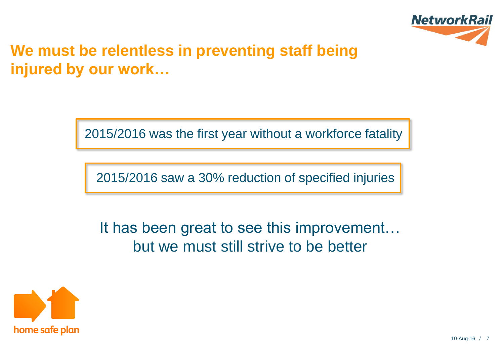

# **We must be relentless in preventing staff being injured by our work…**

2015/2016 was the first year without a workforce fatality

2015/2016 saw a 30% reduction of specified injuries

It has been great to see this improvement… but we must still strive to be better

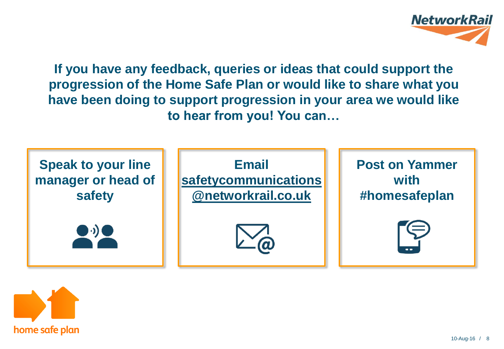

**If you have any feedback, queries or ideas that could support the progression of the Home Safe Plan or would like to share what you have been doing to support progression in your area we would like to hear from you! You can…**